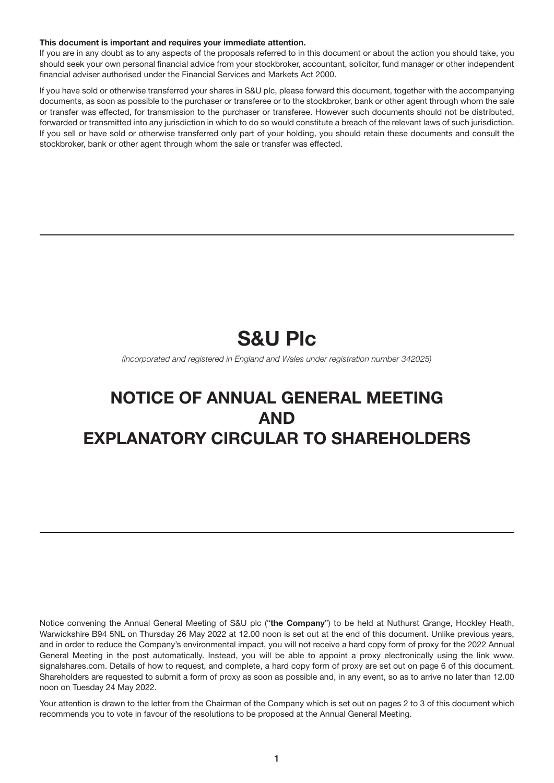#### This document is important and requires your immediate attention.

If you are in any doubt as to any aspects of the proposals referred to in this document or about the action you should take, you should seek your own personal financial advice from your stockbroker, accountant, solicitor, fund manager or other independent financial adviser authorised under the Financial Services and Markets Act 2000.

If you have sold or otherwise transferred your shares in S&U plc, please forward this document, together with the accompanying documents, as soon as possible to the purchaser or transferee or to the stockbroker, bank or other agent through whom the sale or transfer was effected, for transmission to the purchaser or transferee. However such documents should not be distributed, forwarded or transmitted into any jurisdiction in which to do so would constitute a breach of the relevant laws of such jurisdiction. If you sell or have sold or otherwise transferred only part of your holding, you should retain these documents and consult the stockbroker, bank or other agent through whom the sale or transfer was effected.

# S&U Plc

*(incorporated and registered in England and Wales under registration number 342025)*

## NOTICE OF ANNUAL GENERAL MEETING AND EXPLANATORY CIRCULAR TO SHAREHOLDERS

Notice convening the Annual General Meeting of S&U plc ("the Company") to be held at Nuthurst Grange, Hockley Heath, Warwickshire B94 5NL on Thursday 26 May 2022 at 12.00 noon is set out at the end of this document. Unlike previous years, and in order to reduce the Company's environmental impact, you will not receive a hard copy form of proxy for the 2022 Annual General Meeting in the post automatically. Instead, you will be able to appoint a proxy electronically using the link www. signalshares.com. Details of how to request, and complete, a hard copy form of proxy are set out on page 6 of this document. Shareholders are requested to submit a form of proxy as soon as possible and, in any event, so as to arrive no later than 12.00 noon on Tuesday 24 May 2022.

Your attention is drawn to the letter from the Chairman of the Company which is set out on pages 2 to 3 of this document which recommends you to vote in favour of the resolutions to be proposed at the Annual General Meeting.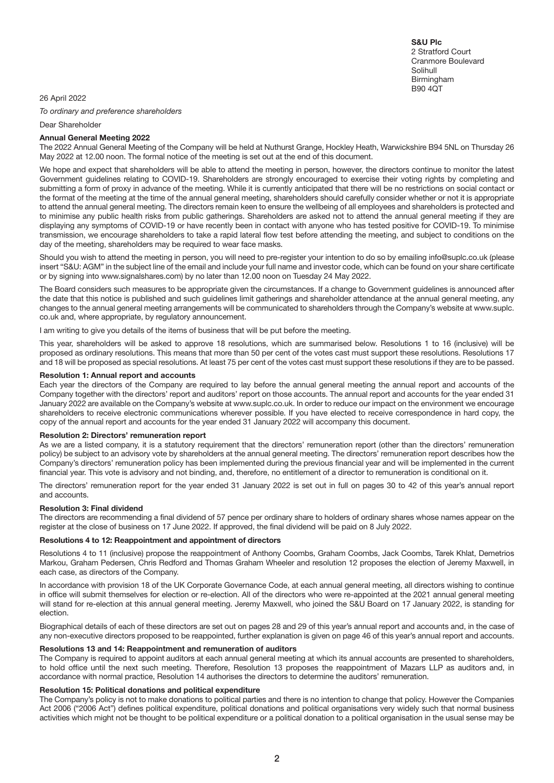S&U Plc 2 Stratford Court Cranmore Boulevard Solihull Birmingham B90 4QT

26 April 2022

*To ordinary and preference shareholders*

Dear Shareholder

#### Annual General Meeting 2022

The 2022 Annual General Meeting of the Company will be held at Nuthurst Grange, Hockley Heath, Warwickshire B94 5NL on Thursday 26 May 2022 at 12.00 noon. The formal notice of the meeting is set out at the end of this document.

We hope and expect that shareholders will be able to attend the meeting in person, however, the directors continue to monitor the latest Government guidelines relating to COVID-19. Shareholders are strongly encouraged to exercise their voting rights by completing and submitting a form of proxy in advance of the meeting. While it is currently anticipated that there will be no restrictions on social contact or the format of the meeting at the time of the annual general meeting, shareholders should carefully consider whether or not it is appropriate to attend the annual general meeting. The directors remain keen to ensure the wellbeing of all employees and shareholders is protected and to minimise any public health risks from public gatherings. Shareholders are asked not to attend the annual general meeting if they are displaying any symptoms of COVID-19 or have recently been in contact with anyone who has tested positive for COVID-19. To minimise transmission, we encourage shareholders to take a rapid lateral flow test before attending the meeting, and subject to conditions on the day of the meeting, shareholders may be required to wear face masks.

Should you wish to attend the meeting in person, you will need to pre-register your intention to do so by emailing info@suplc.co.uk (please insert "S&U: AGM" in the subject line of the email and include your full name and investor code, which can be found on your share certificate or by signing into www.signalshares.com) by no later than 12.00 noon on Tuesday 24 May 2022.

The Board considers such measures to be appropriate given the circumstances. If a change to Government guidelines is announced after the date that this notice is published and such guidelines limit gatherings and shareholder attendance at the annual general meeting, any changes to the annual general meeting arrangements will be communicated to shareholders through the Company's website at www.suplc. co.uk and, where appropriate, by regulatory announcement.

I am writing to give you details of the items of business that will be put before the meeting.

This year, shareholders will be asked to approve 18 resolutions, which are summarised below. Resolutions 1 to 16 (inclusive) will be proposed as ordinary resolutions. This means that more than 50 per cent of the votes cast must support these resolutions. Resolutions 17 and 18 will be proposed as special resolutions. At least 75 per cent of the votes cast must support these resolutions if they are to be passed.

#### Resolution 1: Annual report and accounts

Each year the directors of the Company are required to lay before the annual general meeting the annual report and accounts of the Company together with the directors' report and auditors' report on those accounts. The annual report and accounts for the year ended 31 January 2022 are available on the Company's website at www.suplc.co.uk. In order to reduce our impact on the environment we encourage shareholders to receive electronic communications wherever possible. If you have elected to receive correspondence in hard copy, the copy of the annual report and accounts for the year ended 31 January 2022 will accompany this document.

#### Resolution 2: Directors' remuneration report

As we are a listed company, it is a statutory requirement that the directors' remuneration report (other than the directors' remuneration policy) be subject to an advisory vote by shareholders at the annual general meeting. The directors' remuneration report describes how the Company's directors' remuneration policy has been implemented during the previous financial year and will be implemented in the current financial year. This vote is advisory and not binding, and, therefore, no entitlement of a director to remuneration is conditional on it.

The directors' remuneration report for the year ended 31 January 2022 is set out in full on pages 30 to 42 of this year's annual report and accounts.

#### Resolution 3: Final dividend

The directors are recommending a final dividend of 57 pence per ordinary share to holders of ordinary shares whose names appear on the register at the close of business on 17 June 2022. If approved, the final dividend will be paid on 8 July 2022.

#### Resolutions 4 to 12: Reappointment and appointment of directors

Resolutions 4 to 11 (inclusive) propose the reappointment of Anthony Coombs, Graham Coombs, Jack Coombs, Tarek Khlat, Demetrios Markou, Graham Pedersen, Chris Redford and Thomas Graham Wheeler and resolution 12 proposes the election of Jeremy Maxwell, in each case, as directors of the Company.

In accordance with provision 18 of the UK Corporate Governance Code, at each annual general meeting, all directors wishing to continue in office will submit themselves for election or re-election. All of the directors who were re-appointed at the 2021 annual general meeting will stand for re-election at this annual general meeting. Jeremy Maxwell, who joined the S&U Board on 17 January 2022, is standing for election.

Biographical details of each of these directors are set out on pages 28 and 29 of this year's annual report and accounts and, in the case of any non-executive directors proposed to be reappointed, further explanation is given on page 46 of this year's annual report and accounts.

#### Resolutions 13 and 14: Reappointment and remuneration of auditors

The Company is required to appoint auditors at each annual general meeting at which its annual accounts are presented to shareholders, to hold office until the next such meeting. Therefore, Resolution 13 proposes the reappointment of Mazars LLP as auditors and, in accordance with normal practice, Resolution 14 authorises the directors to determine the auditors' remuneration.

### Resolution 15: Political donations and political expenditure

The Company's policy is not to make donations to political parties and there is no intention to change that policy. However the Companies Act 2006 ("2006 Act") defines political expenditure, political donations and political organisations very widely such that normal business activities which might not be thought to be political expenditure or a political donation to a political organisation in the usual sense may be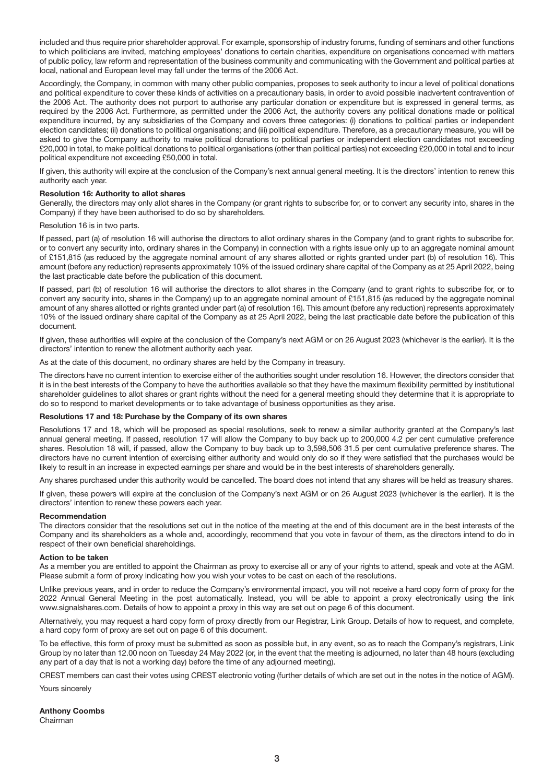included and thus require prior shareholder approval. For example, sponsorship of industry forums, funding of seminars and other functions to which politicians are invited, matching employees' donations to certain charities, expenditure on organisations concerned with matters of public policy, law reform and representation of the business community and communicating with the Government and political parties at local, national and European level may fall under the terms of the 2006 Act.

Accordingly, the Company, in common with many other public companies, proposes to seek authority to incur a level of political donations and political expenditure to cover these kinds of activities on a precautionary basis, in order to avoid possible inadvertent contravention of the 2006 Act. The authority does not purport to authorise any particular donation or expenditure but is expressed in general terms, as required by the 2006 Act. Furthermore, as permitted under the 2006 Act, the authority covers any political donations made or political expenditure incurred, by any subsidiaries of the Company and covers three categories: (i) donations to political parties or independent election candidates; (ii) donations to political organisations; and (iii) political expenditure. Therefore, as a precautionary measure, you will be asked to give the Company authority to make political donations to political parties or independent election candidates not exceeding £20,000 in total, to make political donations to political organisations (other than political parties) not exceeding £20,000 in total and to incur political expenditure not exceeding £50,000 in total.

If given, this authority will expire at the conclusion of the Company's next annual general meeting. It is the directors' intention to renew this authority each year.

#### Resolution 16: Authority to allot shares

Generally, the directors may only allot shares in the Company (or grant rights to subscribe for, or to convert any security into, shares in the Company) if they have been authorised to do so by shareholders.

#### Resolution 16 is in two parts.

If passed, part (a) of resolution 16 will authorise the directors to allot ordinary shares in the Company (and to grant rights to subscribe for, or to convert any security into, ordinary shares in the Company) in connection with a rights issue only up to an aggregate nominal amount of £151,815 (as reduced by the aggregate nominal amount of any shares allotted or rights granted under part (b) of resolution 16). This amount (before any reduction) represents approximately 10% of the issued ordinary share capital of the Company as at 25 April 2022, being the last practicable date before the publication of this document.

If passed, part (b) of resolution 16 will authorise the directors to allot shares in the Company (and to grant rights to subscribe for, or to convert any security into, shares in the Company) up to an aggregate nominal amount of £151,815 (as reduced by the aggregate nominal amount of any shares allotted or rights granted under part (a) of resolution 16). This amount (before any reduction) represents approximately 10% of the issued ordinary share capital of the Company as at 25 April 2022, being the last practicable date before the publication of this document.

If given, these authorities will expire at the conclusion of the Company's next AGM or on 26 August 2023 (whichever is the earlier). It is the directors' intention to renew the allotment authority each year.

As at the date of this document, no ordinary shares are held by the Company in treasury.

The directors have no current intention to exercise either of the authorities sought under resolution 16. However, the directors consider that it is in the best interests of the Company to have the authorities available so that they have the maximum flexibility permitted by institutional shareholder guidelines to allot shares or grant rights without the need for a general meeting should they determine that it is appropriate to do so to respond to market developments or to take advantage of business opportunities as they arise.

#### Resolutions 17 and 18: Purchase by the Company of its own shares

Resolutions 17 and 18, which will be proposed as special resolutions, seek to renew a similar authority granted at the Company's last annual general meeting. If passed, resolution 17 will allow the Company to buy back up to 200,000 4.2 per cent cumulative preference shares. Resolution 18 will, if passed, allow the Company to buy back up to 3,598,506 31.5 per cent cumulative preference shares. The directors have no current intention of exercising either authority and would only do so if they were satisfied that the purchases would be likely to result in an increase in expected earnings per share and would be in the best interests of shareholders generally.

Any shares purchased under this authority would be cancelled. The board does not intend that any shares will be held as treasury shares.

If given, these powers will expire at the conclusion of the Company's next AGM or on 26 August 2023 (whichever is the earlier). It is the directors' intention to renew these powers each year.

#### Recommendation

The directors consider that the resolutions set out in the notice of the meeting at the end of this document are in the best interests of the Company and its shareholders as a whole and, accordingly, recommend that you vote in favour of them, as the directors intend to do in respect of their own beneficial shareholdings.

#### Action to be taken

As a member you are entitled to appoint the Chairman as proxy to exercise all or any of your rights to attend, speak and vote at the AGM. Please submit a form of proxy indicating how you wish your votes to be cast on each of the resolutions.

Unlike previous years, and in order to reduce the Company's environmental impact, you will not receive a hard copy form of proxy for the 2022 Annual General Meeting in the post automatically. Instead, you will be able to appoint a proxy electronically using the link www.signalshares.com. Details of how to appoint a proxy in this way are set out on page 6 of this document.

Alternatively, you may request a hard copy form of proxy directly from our Registrar, Link Group. Details of how to request, and complete, a hard copy form of proxy are set out on page 6 of this document.

To be effective, this form of proxy must be submitted as soon as possible but, in any event, so as to reach the Company's registrars, Link Group by no later than 12.00 noon on Tuesday 24 May 2022 (or, in the event that the meeting is adjourned, no later than 48 hours (excluding any part of a day that is not a working day) before the time of any adjourned meeting).

CREST members can cast their votes using CREST electronic voting (further details of which are set out in the notes in the notice of AGM).

Yours sincerely

Anthony Coombs Chairman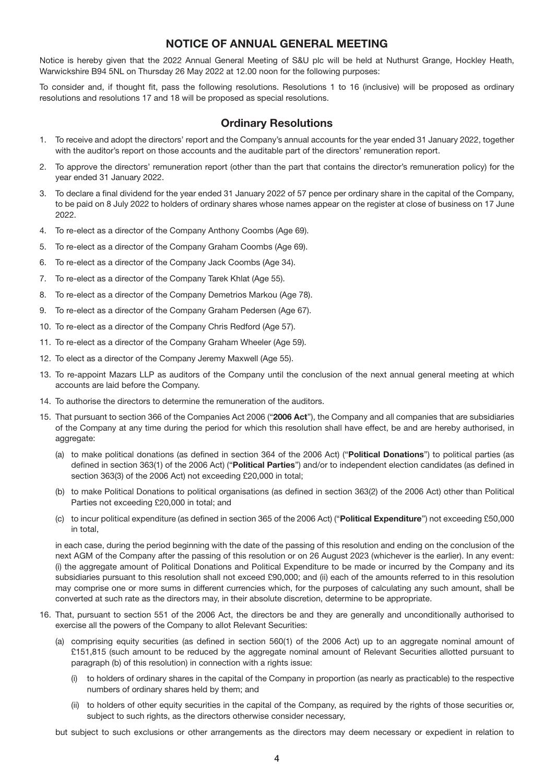## NOTICE OF ANNUAL GENERAL MEETING

Notice is hereby given that the 2022 Annual General Meeting of S&U plc will be held at Nuthurst Grange, Hockley Heath, Warwickshire B94 5NL on Thursday 26 May 2022 at 12.00 noon for the following purposes:

To consider and, if thought fit, pass the following resolutions. Resolutions 1 to 16 (inclusive) will be proposed as ordinary resolutions and resolutions 17 and 18 will be proposed as special resolutions.

## Ordinary Resolutions

- 1. To receive and adopt the directors' report and the Company's annual accounts for the year ended 31 January 2022, together with the auditor's report on those accounts and the auditable part of the directors' remuneration report.
- 2. To approve the directors' remuneration report (other than the part that contains the director's remuneration policy) for the year ended 31 January 2022.
- 3. To declare a final dividend for the year ended 31 January 2022 of 57 pence per ordinary share in the capital of the Company, to be paid on 8 July 2022 to holders of ordinary shares whose names appear on the register at close of business on 17 June 2022.
- 4. To re-elect as a director of the Company Anthony Coombs (Age 69).
- 5. To re-elect as a director of the Company Graham Coombs (Age 69).
- 6. To re-elect as a director of the Company Jack Coombs (Age 34).
- 7. To re-elect as a director of the Company Tarek Khlat (Age 55).
- 8. To re-elect as a director of the Company Demetrios Markou (Age 78).
- 9. To re-elect as a director of the Company Graham Pedersen (Age 67).
- 10. To re-elect as a director of the Company Chris Redford (Age 57).
- 11. To re-elect as a director of the Company Graham Wheeler (Age 59).
- 12. To elect as a director of the Company Jeremy Maxwell (Age 55).
- 13. To re-appoint Mazars LLP as auditors of the Company until the conclusion of the next annual general meeting at which accounts are laid before the Company.
- 14. To authorise the directors to determine the remuneration of the auditors.
- 15. That pursuant to section 366 of the Companies Act 2006 ("2006 Act"), the Company and all companies that are subsidiaries of the Company at any time during the period for which this resolution shall have effect, be and are hereby authorised, in aggregate:
	- (a) to make political donations (as defined in section 364 of the 2006 Act) ("Political Donations") to political parties (as defined in section 363(1) of the 2006 Act) ("Political Parties") and/or to independent election candidates (as defined in section 363(3) of the 2006 Act) not exceeding £20,000 in total;
	- (b) to make Political Donations to political organisations (as defined in section 363(2) of the 2006 Act) other than Political Parties not exceeding £20,000 in total; and
	- (c) to incur political expenditure (as defined in section 365 of the 2006 Act) ("Political Expenditure") not exceeding £50,000 in total,

in each case, during the period beginning with the date of the passing of this resolution and ending on the conclusion of the next AGM of the Company after the passing of this resolution or on 26 August 2023 (whichever is the earlier). In any event: (i) the aggregate amount of Political Donations and Political Expenditure to be made or incurred by the Company and its subsidiaries pursuant to this resolution shall not exceed £90,000; and (ii) each of the amounts referred to in this resolution may comprise one or more sums in different currencies which, for the purposes of calculating any such amount, shall be converted at such rate as the directors may, in their absolute discretion, determine to be appropriate.

- 16. That, pursuant to section 551 of the 2006 Act, the directors be and they are generally and unconditionally authorised to exercise all the powers of the Company to allot Relevant Securities:
	- (a) comprising equity securities (as defined in section 560(1) of the 2006 Act) up to an aggregate nominal amount of £151,815 (such amount to be reduced by the aggregate nominal amount of Relevant Securities allotted pursuant to paragraph (b) of this resolution) in connection with a rights issue:
		- (i) to holders of ordinary shares in the capital of the Company in proportion (as nearly as practicable) to the respective numbers of ordinary shares held by them; and
		- (ii) to holders of other equity securities in the capital of the Company, as required by the rights of those securities or, subject to such rights, as the directors otherwise consider necessary,

but subject to such exclusions or other arrangements as the directors may deem necessary or expedient in relation to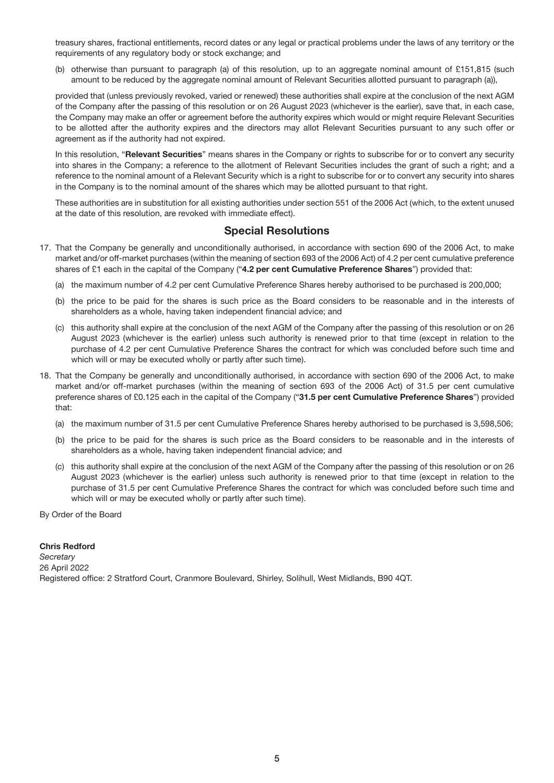treasury shares, fractional entitlements, record dates or any legal or practical problems under the laws of any territory or the requirements of any regulatory body or stock exchange; and

(b) otherwise than pursuant to paragraph (a) of this resolution, up to an aggregate nominal amount of £151,815 (such amount to be reduced by the aggregate nominal amount of Relevant Securities allotted pursuant to paragraph (a)),

provided that (unless previously revoked, varied or renewed) these authorities shall expire at the conclusion of the next AGM of the Company after the passing of this resolution or on 26 August 2023 (whichever is the earlier), save that, in each case, the Company may make an offer or agreement before the authority expires which would or might require Relevant Securities to be allotted after the authority expires and the directors may allot Relevant Securities pursuant to any such offer or agreement as if the authority had not expired.

In this resolution, "Relevant Securities" means shares in the Company or rights to subscribe for or to convert any security into shares in the Company; a reference to the allotment of Relevant Securities includes the grant of such a right; and a reference to the nominal amount of a Relevant Security which is a right to subscribe for or to convert any security into shares in the Company is to the nominal amount of the shares which may be allotted pursuant to that right.

These authorities are in substitution for all existing authorities under section 551 of the 2006 Act (which, to the extent unused at the date of this resolution, are revoked with immediate effect).

## Special Resolutions

- 17. That the Company be generally and unconditionally authorised, in accordance with section 690 of the 2006 Act, to make market and/or off-market purchases (within the meaning of section 693 of the 2006 Act) of 4.2 per cent cumulative preference shares of £1 each in the capital of the Company ("4.2 per cent Cumulative Preference Shares") provided that:
	- (a) the maximum number of 4.2 per cent Cumulative Preference Shares hereby authorised to be purchased is 200,000;
	- (b) the price to be paid for the shares is such price as the Board considers to be reasonable and in the interests of shareholders as a whole, having taken independent financial advice; and
	- (c) this authority shall expire at the conclusion of the next AGM of the Company after the passing of this resolution or on 26 August 2023 (whichever is the earlier) unless such authority is renewed prior to that time (except in relation to the purchase of 4.2 per cent Cumulative Preference Shares the contract for which was concluded before such time and which will or may be executed wholly or partly after such time).
- 18. That the Company be generally and unconditionally authorised, in accordance with section 690 of the 2006 Act, to make market and/or off-market purchases (within the meaning of section 693 of the 2006 Act) of 31.5 per cent cumulative preference shares of £0.125 each in the capital of the Company ("31.5 per cent Cumulative Preference Shares") provided that:
	- (a) the maximum number of 31.5 per cent Cumulative Preference Shares hereby authorised to be purchased is 3,598,506;
	- (b) the price to be paid for the shares is such price as the Board considers to be reasonable and in the interests of shareholders as a whole, having taken independent financial advice; and
	- (c) this authority shall expire at the conclusion of the next AGM of the Company after the passing of this resolution or on 26 August 2023 (whichever is the earlier) unless such authority is renewed prior to that time (except in relation to the purchase of 31.5 per cent Cumulative Preference Shares the contract for which was concluded before such time and which will or may be executed wholly or partly after such time).

By Order of the Board

## Chris Redford

*Secretary* 26 April 2022 Registered office: 2 Stratford Court, Cranmore Boulevard, Shirley, Solihull, West Midlands, B90 4QT.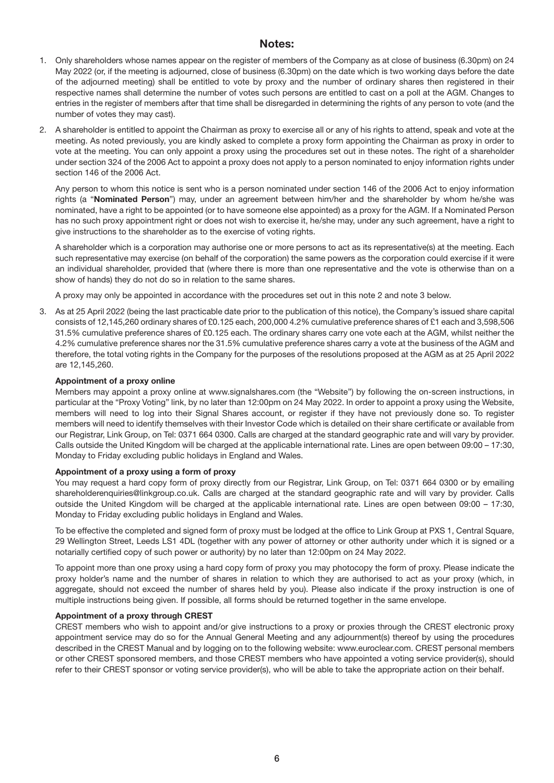## Notes:

- 1. Only shareholders whose names appear on the register of members of the Company as at close of business (6.30pm) on 24 May 2022 (or, if the meeting is adjourned, close of business (6.30pm) on the date which is two working days before the date of the adjourned meeting) shall be entitled to vote by proxy and the number of ordinary shares then registered in their respective names shall determine the number of votes such persons are entitled to cast on a poll at the AGM. Changes to entries in the register of members after that time shall be disregarded in determining the rights of any person to vote (and the number of votes they may cast).
- 2. A shareholder is entitled to appoint the Chairman as proxy to exercise all or any of his rights to attend, speak and vote at the meeting. As noted previously, you are kindly asked to complete a proxy form appointing the Chairman as proxy in order to vote at the meeting. You can only appoint a proxy using the procedures set out in these notes. The right of a shareholder under section 324 of the 2006 Act to appoint a proxy does not apply to a person nominated to enjoy information rights under section 146 of the 2006 Act.

Any person to whom this notice is sent who is a person nominated under section 146 of the 2006 Act to enjoy information rights (a "Nominated Person") may, under an agreement between him/her and the shareholder by whom he/she was nominated, have a right to be appointed (or to have someone else appointed) as a proxy for the AGM. If a Nominated Person has no such proxy appointment right or does not wish to exercise it, he/she may, under any such agreement, have a right to give instructions to the shareholder as to the exercise of voting rights.

A shareholder which is a corporation may authorise one or more persons to act as its representative(s) at the meeting. Each such representative may exercise (on behalf of the corporation) the same powers as the corporation could exercise if it were an individual shareholder, provided that (where there is more than one representative and the vote is otherwise than on a show of hands) they do not do so in relation to the same shares.

A proxy may only be appointed in accordance with the procedures set out in this note 2 and note 3 below.

3. As at 25 April 2022 (being the last practicable date prior to the publication of this notice), the Company's issued share capital consists of 12,145,260 ordinary shares of £0.125 each, 200,000 4.2% cumulative preference shares of £1 each and 3,598,506 31.5% cumulative preference shares of £0.125 each. The ordinary shares carry one vote each at the AGM, whilst neither the 4.2% cumulative preference shares nor the 31.5% cumulative preference shares carry a vote at the business of the AGM and therefore, the total voting rights in the Company for the purposes of the resolutions proposed at the AGM as at 25 April 2022 are 12,145,260.

#### Appointment of a proxy online

Members may appoint a proxy online at www.signalshares.com (the "Website") by following the on-screen instructions, in particular at the "Proxy Voting" link, by no later than 12:00pm on 24 May 2022. In order to appoint a proxy using the Website, members will need to log into their Signal Shares account, or register if they have not previously done so. To register members will need to identify themselves with their Investor Code which is detailed on their share certificate or available from our Registrar, Link Group, on Tel: 0371 664 0300. Calls are charged at the standard geographic rate and will vary by provider. Calls outside the United Kingdom will be charged at the applicable international rate. Lines are open between 09:00 – 17:30, Monday to Friday excluding public holidays in England and Wales.

#### Appointment of a proxy using a form of proxy

You may request a hard copy form of proxy directly from our Registrar, Link Group, on Tel: 0371 664 0300 or by emailing shareholderenquiries@linkgroup.co.uk. Calls are charged at the standard geographic rate and will vary by provider. Calls outside the United Kingdom will be charged at the applicable international rate. Lines are open between 09:00 – 17:30, Monday to Friday excluding public holidays in England and Wales.

To be effective the completed and signed form of proxy must be lodged at the office to Link Group at PXS 1, Central Square, 29 Wellington Street, Leeds LS1 4DL (together with any power of attorney or other authority under which it is signed or a notarially certified copy of such power or authority) by no later than 12:00pm on 24 May 2022.

To appoint more than one proxy using a hard copy form of proxy you may photocopy the form of proxy. Please indicate the proxy holder's name and the number of shares in relation to which they are authorised to act as your proxy (which, in aggregate, should not exceed the number of shares held by you). Please also indicate if the proxy instruction is one of multiple instructions being given. If possible, all forms should be returned together in the same envelope.

#### Appointment of a proxy through CREST

CREST members who wish to appoint and/or give instructions to a proxy or proxies through the CREST electronic proxy appointment service may do so for the Annual General Meeting and any adjournment(s) thereof by using the procedures described in the CREST Manual and by logging on to the following website: www.euroclear.com. CREST personal members or other CREST sponsored members, and those CREST members who have appointed a voting service provider(s), should refer to their CREST sponsor or voting service provider(s), who will be able to take the appropriate action on their behalf.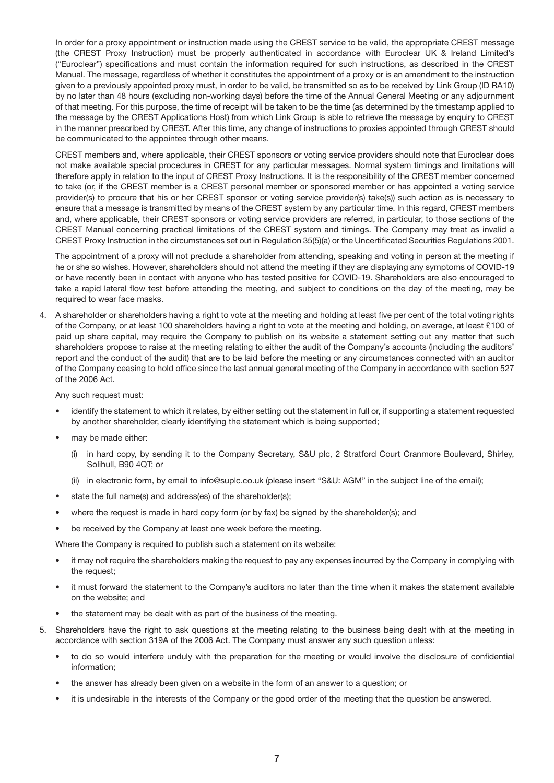In order for a proxy appointment or instruction made using the CREST service to be valid, the appropriate CREST message (the CREST Proxy Instruction) must be properly authenticated in accordance with Euroclear UK & Ireland Limited's ("Euroclear") specifications and must contain the information required for such instructions, as described in the CREST Manual. The message, regardless of whether it constitutes the appointment of a proxy or is an amendment to the instruction given to a previously appointed proxy must, in order to be valid, be transmitted so as to be received by Link Group (ID RA10) by no later than 48 hours (excluding non-working days) before the time of the Annual General Meeting or any adjournment of that meeting. For this purpose, the time of receipt will be taken to be the time (as determined by the timestamp applied to the message by the CREST Applications Host) from which Link Group is able to retrieve the message by enquiry to CREST in the manner prescribed by CREST. After this time, any change of instructions to proxies appointed through CREST should be communicated to the appointee through other means.

CREST members and, where applicable, their CREST sponsors or voting service providers should note that Euroclear does not make available special procedures in CREST for any particular messages. Normal system timings and limitations will therefore apply in relation to the input of CREST Proxy Instructions. It is the responsibility of the CREST member concerned to take (or, if the CREST member is a CREST personal member or sponsored member or has appointed a voting service provider(s) to procure that his or her CREST sponsor or voting service provider(s) take(s)) such action as is necessary to ensure that a message is transmitted by means of the CREST system by any particular time. In this regard, CREST members and, where applicable, their CREST sponsors or voting service providers are referred, in particular, to those sections of the CREST Manual concerning practical limitations of the CREST system and timings. The Company may treat as invalid a CREST Proxy Instruction in the circumstances set out in Regulation 35(5)(a) or the Uncertificated Securities Regulations 2001.

The appointment of a proxy will not preclude a shareholder from attending, speaking and voting in person at the meeting if he or she so wishes. However, shareholders should not attend the meeting if they are displaying any symptoms of COVID-19 or have recently been in contact with anyone who has tested positive for COVID-19. Shareholders are also encouraged to take a rapid lateral flow test before attending the meeting, and subject to conditions on the day of the meeting, may be required to wear face masks.

4. A shareholder or shareholders having a right to vote at the meeting and holding at least five per cent of the total voting rights of the Company, or at least 100 shareholders having a right to vote at the meeting and holding, on average, at least £100 of paid up share capital, may require the Company to publish on its website a statement setting out any matter that such shareholders propose to raise at the meeting relating to either the audit of the Company's accounts (including the auditors' report and the conduct of the audit) that are to be laid before the meeting or any circumstances connected with an auditor of the Company ceasing to hold office since the last annual general meeting of the Company in accordance with section 527 of the 2006 Act.

Any such request must:

- identify the statement to which it relates, by either setting out the statement in full or, if supporting a statement requested by another shareholder, clearly identifying the statement which is being supported;
- may be made either:
	- (i) in hard copy, by sending it to the Company Secretary, S&U plc, 2 Stratford Court Cranmore Boulevard, Shirley, Solihull, B90 4QT; or
	- (ii) in electronic form, by email to info@suplc.co.uk (please insert "S&U: AGM" in the subject line of the email);
- state the full name(s) and address(es) of the shareholder(s);
- where the request is made in hard copy form (or by fax) be signed by the shareholder(s); and
- be received by the Company at least one week before the meeting.

Where the Company is required to publish such a statement on its website:

- it may not require the shareholders making the request to pay any expenses incurred by the Company in complying with the request;
- it must forward the statement to the Company's auditors no later than the time when it makes the statement available on the website; and
- the statement may be dealt with as part of the business of the meeting.
- 5. Shareholders have the right to ask questions at the meeting relating to the business being dealt with at the meeting in accordance with section 319A of the 2006 Act. The Company must answer any such question unless:
	- to do so would interfere unduly with the preparation for the meeting or would involve the disclosure of confidential information;
	- the answer has already been given on a website in the form of an answer to a question; or
	- it is undesirable in the interests of the Company or the good order of the meeting that the question be answered.